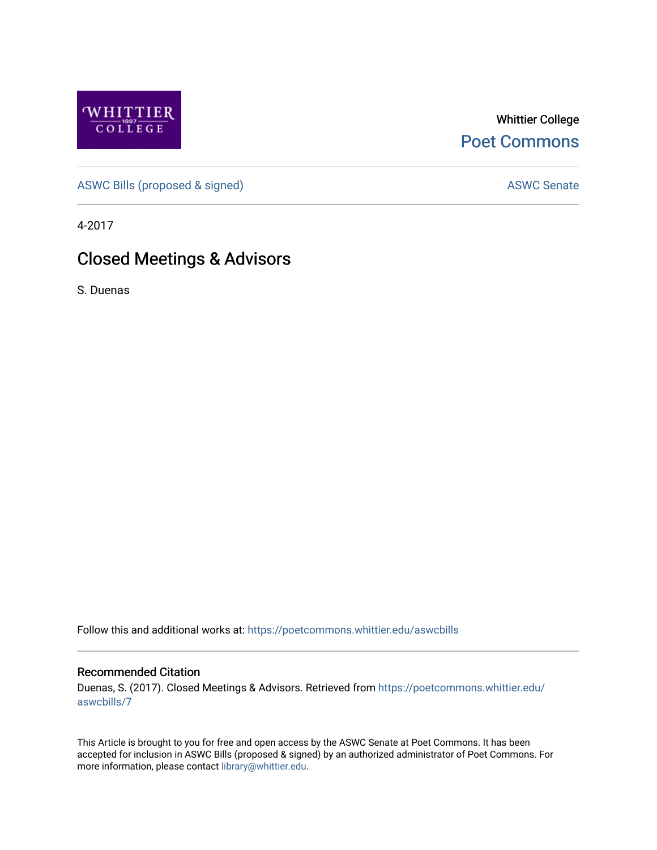

Whittier College [Poet Commons](https://poetcommons.whittier.edu/) 

[ASWC Bills \(proposed & signed\)](https://poetcommons.whittier.edu/aswcbills) ASWC Senate

4-2017

## Closed Meetings & Advisors

S. Duenas

Follow this and additional works at: [https://poetcommons.whittier.edu/aswcbills](https://poetcommons.whittier.edu/aswcbills?utm_source=poetcommons.whittier.edu%2Faswcbills%2F7&utm_medium=PDF&utm_campaign=PDFCoverPages) 

## Recommended Citation

Duenas, S. (2017). Closed Meetings & Advisors. Retrieved from [https://poetcommons.whittier.edu/](https://poetcommons.whittier.edu/aswcbills/7?utm_source=poetcommons.whittier.edu%2Faswcbills%2F7&utm_medium=PDF&utm_campaign=PDFCoverPages) [aswcbills/7](https://poetcommons.whittier.edu/aswcbills/7?utm_source=poetcommons.whittier.edu%2Faswcbills%2F7&utm_medium=PDF&utm_campaign=PDFCoverPages)

This Article is brought to you for free and open access by the ASWC Senate at Poet Commons. It has been accepted for inclusion in ASWC Bills (proposed & signed) by an authorized administrator of Poet Commons. For more information, please contact [library@whittier.edu.](mailto:library@whittier.edu)